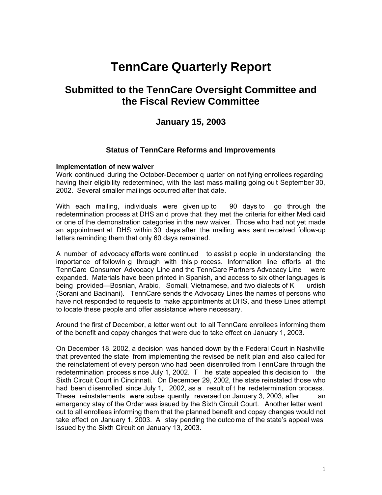# **TennCare Quarterly Report**

# **Submitted to the TennCare Oversight Committee and the Fiscal Review Committee**

# **January 15, 2003**

#### **Status of TennCare Reforms and Improvements**

#### **Implementation of new waiver**

Work continued during the October-December q uarter on notifying enrollees regarding having their eligibility redetermined, with the last mass mailing going ou t September 30, 2002. Several smaller mailings occurred after that date.

With each mailing, individuals were given up to 90 days to go through the redetermination process at DHS an d prove that they met the criteria for either Medi caid or one of the demonstration categories in the new waiver. Those who had not yet made an appointment at DHS within 30 days after the mailing was sent re ceived follow-up letters reminding them that only 60 days remained.

A number of advocacy efforts were continued to assist p eople in understanding the importance of followin g through with this p rocess. Information line efforts at the TennCare Consumer Advocacy Line and the TennCare Partners Advocacy Line were expanded. Materials have been printed in Spanish, and access to six other languages is being provided—Bosnian, Arabic, Somali, Vietnamese, and two dialects of K urdish (Sorani and Badinani). TennCare sends the Advocacy Lines the names of persons who have not responded to requests to make appointments at DHS, and these Lines attempt to locate these people and offer assistance where necessary.

Around the first of December, a letter went out to all TennCare enrollees informing them of the benefit and copay changes that were due to take effect on January 1, 2003.

On December 18, 2002, a decision was handed down by th e Federal Court in Nashville that prevented the state from implementing the revised be nefit plan and also called for the reinstatement of every person who had been disenrolled from TennCare through the redetermination process since July 1, 2002. T he state appealed this decision to the Sixth Circuit Court in Cincinnati. On December 29, 2002, the state reinstated those who had been disenrolled since July 1, 2002, as a result of t he redetermination process. These reinstatements were subse quently reversed on January 3, 2003, after an emergency stay of the Order was issued by the Sixth Circuit Court. Another letter went out to all enrollees informing them that the planned benefit and copay changes would not take effect on January 1, 2003. A stay pending the outco me of the state's appeal was issued by the Sixth Circuit on January 13, 2003.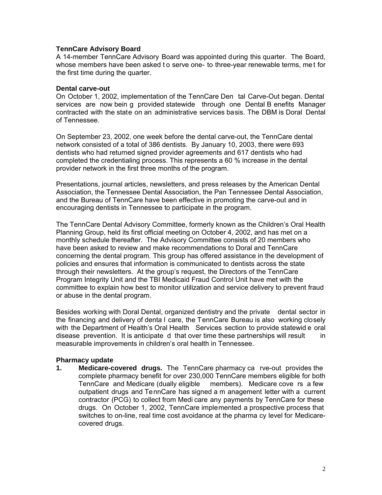#### **TennCare Advisory Board**

A 14-member TennCare Advisory Board was appointed during this quarter. The Board, whose members have been asked to serve one- to three-year renewable terms, met for the first time during the quarter.

#### **Dental carve-out**

On October 1, 2002, implementation of the TennCare Den tal Carve-Out began. Dental services are now bein g provided statewide through one Dental B enefits Manager contracted with the state on an administrative services basis. The DBM is Doral Dental of Tennessee.

On September 23, 2002, one week before the dental carve-out, the TennCare dental network consisted of a total of 386 dentists. By January 10, 2003, there were 693 dentists who had returned signed provider agreements and 617 dentists who had completed the credentialing process. This represents a 60 % increase in the dental provider network in the first three months of the program.

Presentations, journal articles, newsletters, and press releases by the American Dental Association, the Tennessee Dental Association, the Pan Tennessee Dental Association, and the Bureau of TennCare have been effective in promoting the carve-out and in encouraging dentists in Tennessee to participate in the program.

The TennCare Dental Advisory Committee, formerly known as the Children's Oral Health Planning Group, held its first official meeting on October 4, 2002, and has met on a monthly schedule thereafter. The Advisory Committee consists of 20 members who have been asked to review and make recommendations to Doral and TennCare concerning the dental program. This group has offered assistance in the development of policies and ensures that information is communicated to dentists across the state through their newsletters. At the group's request, the Directors of the TennCare Program Integrity Unit and the TBI Medicaid Fraud Control Unit have met with the committee to explain how best to monitor utilization and service delivery to prevent fraud or abuse in the dental program.

Besides working with Doral Dental, organized dentistry and the private dental sector in the financing and delivery of denta l care, the TennCare Bureau is also working closely with the Department of Health's Oral Health Services section to provide statewid e oral disease prevention. It is anticipate d that over time these partnerships will result in measurable improvements in children's oral health in Tennessee.

#### **Pharmacy update**

**1. Medicare-covered drugs.** The TennCare pharmacy ca rve-out provides the complete pharmacy benefit for over 230,000 TennCare members eligible for both TennCare and Medicare (dually eligible members). Medicare cove rs a few outpatient drugs and TennCare has signed a m anagement letter with a current contractor (PCG) to collect from Medi care any payments by TennCare for these drugs. On October 1, 2002, TennCare implemented a prospective process that switches to on-line, real time cost avoidance at the pharma cy level for Medicarecovered drugs.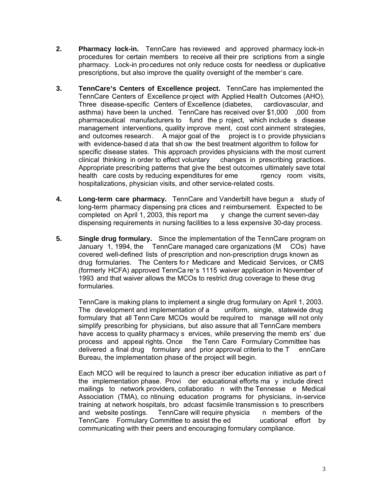- **2. Pharmacy lock-in.** TennCare has reviewed and approved pharmacy lock-in procedures for certain members to receive all their pre scriptions from a single pharmacy. Lock-in procedures not only reduce costs for needless or duplicative prescriptions, but also improve the quality oversight of the member's care.
- **3. TennCare's Centers of Excellence project.** TennCare has implemented the TennCare Centers of Excellence project with Applied Health Outcomes (AHO). Three disease-specific Centers of Excellence (diabetes, cardiovascular, and asthma) have been la unched. TennCare has received over \$1,000 ,000 from pharmaceutical manufacturers to fund the p roject, which include s disease management interventions, quality improve ment, cost cont ainment strategies, and outcomes research. A major goal of the project is t o provide physicians with evidence-based d ata that sh ow the best treatment algorithm to follow for specific disease states. This approach provides physicians with the most current clinical thinking in order to effect voluntary changes in prescribing practices. Appropriate prescribing patterns that give the best outcomes ultimately save total health care costs by reducing expenditures for eme rgency room visits, hospitalizations, physician visits, and other service-related costs.
- **4. Long-term care pharmacy.** TennCare and Vanderbilt have begun a study of long-term pharmacy dispensing pra ctices and r eimbursement. Expected to be completed on April 1, 2003, this report ma  $\gamma$  change the current seven-day dispensing requirements in nursing facilities to a less expensive 30-day process.
- **5. Single drug formulary.** Since the implementation of the TennCare program on January 1, 1994, the TennCare managed care organizations (M COs) have covered well-defined lists of prescription and non-prescription drugs known as drug formularies. The Centers fo r Medicare and Medicaid Services, or CMS (formerly HCFA) approved TennCa re's 1115 waiver application in November of 1993 and that waiver allows the MCOs to restrict drug coverage to these drug formularies.

TennCare is making plans to implement a single drug formulary on April 1, 2003.<br>The development and implementation of a uniform, single, statewide drug The development and implementation of a formulary that all Tenn Care MCOs would be required to manage will not only simplify prescribing for physicians, but also assure that all TennCare members have access to quality pharmacy s ervices, while preserving the memb ers' due process and appeal rights. Once the Tenn Care Formulary Committee has delivered a final drug formulary and prior approval criteria to the T ennCare Bureau, the implementation phase of the project will begin.

Each MCO will be required to launch a prescr iber education initiative as part o f the implementation phase. Provi der educational efforts ma y include direct mailings to network providers, collaboratio n with the Tennesse e Medical Association (TMA), co ntinuing education programs for physicians, in-service training at network hospitals, bro adcast facsimile transmission s to prescribers and website postings. TennCare will require physicia n members of the TennCare Formulary Committee to assist the ed ucational effort by communicating with their peers and encouraging formulary compliance.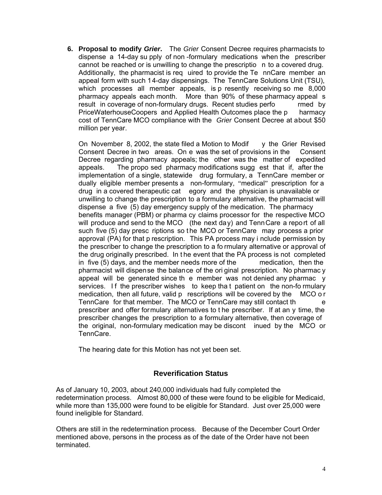**6. Proposal to modify** *Grier***.** The *Grier* Consent Decree requires pharmacists to dispense a 14-day su pply of non -formulary medications when the prescriber cannot be reached or is unwilling to change the prescriptio n to a covered drug. Additionally, the pharmacist is req uired to provide the Te nnCare member an appeal form with such 14-day dispensings. The TennCare Solutions Unit (TSU), which processes all member appeals, is p resently receiving so me 8,000 pharmacy appeals each month. More than 90% of these pharmacy appeal s result in coverage of non-formulary drugs. Recent studies perfo rmed by PriceWaterhouseCoopers and Applied Health Outcomes place the p harmacy cost of TennCare MCO compliance with the *Grier* Consent Decree at about \$50 million per year.

On November 8, 2002, the state filed a Motion to Modif  $\quad$  y the Grier Revised Consent Decree in two areas. On e was the set of provisions in the Consent Decree regarding pharmacy appeals; the other was the matter of expedited appeals. The propo sed pharmacy modifications sugg est that if, after the implementation of a single, statewide drug formulary, a TennCare member or dually eligible member presents a non-formulary, "medical" prescription for a drug in a covered therapeutic cat egory and the physician is unavailable or unwilling to change the prescription to a formulary alternative, the pharmacist will dispense a five (5) day emergency supply of the medication. The pharmacy benefits manager (PBM) or pharma cy claims processor for the respective MCO will produce and send to the MCO (the next day) and TennCare a report of all such five (5) day presc riptions so the MCO or TennCare may process a prior approval (PA) for that p rescription. This PA process may i nclude permission by the prescriber to change the prescription to a fo rmulary alternative or approval of the drug originally prescribed. In t he event that the PA process is not completed in five (5) days, and the member needs more of the medication, then the pharmacist will dispense the balance of the ori ginal prescription. No pharmac y appeal will be generated since th e member was not denied any pharmac y services. If the prescriber wishes to keep tha t patient on the non-fo rmulary medication, then all future, valid p rescriptions will be covered by the MCO o r TennCare for that member. The MCO or TennCare may still contact th e prescriber and offer formulary alternatives to t he prescriber. If at an y time, the prescriber changes the prescription to a formulary alternative, then coverage of the original, non-formulary medication may be discont inued by the MCO or TennCare.

The hearing date for this Motion has not yet been set.

# **Reverification Status**

As of January 10, 2003, about 240,000 individuals had fully completed the redetermination process. Almost 80,000 of these were found to be eligible for Medicaid, while more than 135,000 were found to be eligible for Standard. Just over 25,000 were found ineligible for Standard.

Others are still in the redetermination process. Because of the December Court Order mentioned above, persons in the process as of the date of the Order have not been terminated.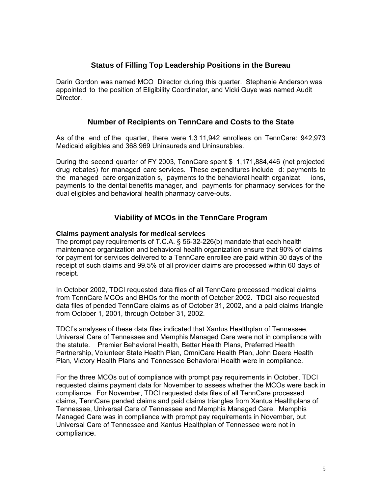# **Status of Filling Top Leadership Positions in the Bureau**

Darin Gordon was named MCO Director during this quarter. Stephanie Anderson was appointed to the position of Eligibility Coordinator, and Vicki Guye was named Audit Director.

### **Number of Recipients on TennCare and Costs to the State**

As of the end of the quarter, there were 1,3 11,942 enrollees on TennCare: 942,973 Medicaid eligibles and 368,969 Uninsureds and Uninsurables.

During the second quarter of FY 2003, TennCare spent \$ 1,171,884,446 (net projected drug rebates) for managed care services. These expenditures include d: payments to the managed care organization s, payments to the behavioral health organizat ions, payments to the dental benefits manager, and payments for pharmacy services for the dual eligibles and behavioral health pharmacy carve-outs.

# **Viability of MCOs in the TennCare Program**

#### **Claims payment analysis for medical services**

The prompt pay requirements of T.C.A. § 56-32-226(b) mandate that each health maintenance organization and behavioral health organization ensure that 90% of claims for payment for services delivered to a TennCare enrollee are paid within 30 days of the receipt of such claims and 99.5% of all provider claims are processed within 60 days of receipt.

In October 2002, TDCI requested data files of all TennCare processed medical claims from TennCare MCOs and BHOs for the month of October 2002. TDCI also requested data files of pended TennCare claims as of October 31, 2002, and a paid claims triangle from October 1, 2001, through October 31, 2002.

TDCI's analyses of these data files indicated that Xantus Healthplan of Tennessee, Universal Care of Tennessee and Memphis Managed Care were not in compliance with the statute. Premier Behavioral Health, Better Health Plans, Preferred Health Partnership, Volunteer State Health Plan, OmniCare Health Plan, John Deere Health Plan, Victory Health Plans and Tennessee Behavioral Health were in compliance.

For the three MCOs out of compliance with prompt pay requirements in October, TDCI requested claims payment data for November to assess whether the MCOs were back in compliance. For November, TDCI requested data files of all TennCare processed claims, TennCare pended claims and paid claims triangles from Xantus Healthplans of Tennessee, Universal Care of Tennessee and Memphis Managed Care. Memphis Managed Care was in compliance with prompt pay requirements in November, but Universal Care of Tennessee and Xantus Healthplan of Tennessee were not in compliance.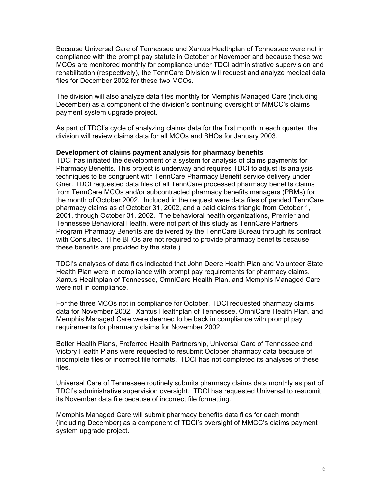Because Universal Care of Tennessee and Xantus Healthplan of Tennessee were not in compliance with the prompt pay statute in October or November and because these two MCOs are monitored monthly for compliance under TDCI administrative supervision and rehabilitation (respectively), the TennCare Division will request and analyze medical data files for December 2002 for these two MCOs.

The division will also analyze data files monthly for Memphis Managed Care (including December) as a component of the division's continuing oversight of MMCC's claims payment system upgrade project.

As part of TDCI's cycle of analyzing claims data for the first month in each quarter, the division will review claims data for all MCOs and BHOs for January 2003.

#### **Development of claims payment analysis for pharmacy benefits**

TDCI has initiated the development of a system for analysis of claims payments for Pharmacy Benefits. This project is underway and requires TDCI to adjust its analysis techniques to be congruent with TennCare Pharmacy Benefit service delivery under Grier. TDCI requested data files of all TennCare processed pharmacy benefits claims from TennCare MCOs and/or subcontracted pharmacy benefits managers (PBMs) for the month of October 2002. Included in the request were data files of pended TennCare pharmacy claims as of October 31, 2002, and a paid claims triangle from October 1, 2001, through October 31, 2002. The behavioral health organizations, Premier and Tennessee Behavioral Health, were not part of this study as TennCare Partners Program Pharmacy Benefits are delivered by the TennCare Bureau through its contract with Consultec. (The BHOs are not required to provide pharmacy benefits because these benefits are provided by the state.)

TDCI's analyses of data files indicated that John Deere Health Plan and Volunteer State Health Plan were in compliance with prompt pay requirements for pharmacy claims. Xantus Healthplan of Tennessee, OmniCare Health Plan, and Memphis Managed Care were not in compliance.

For the three MCOs not in compliance for October, TDCI requested pharmacy claims data for November 2002. Xantus Healthplan of Tennessee, OmniCare Health Plan, and Memphis Managed Care were deemed to be back in compliance with prompt pay requirements for pharmacy claims for November 2002.

Better Health Plans, Preferred Health Partnership, Universal Care of Tennessee and Victory Health Plans were requested to resubmit October pharmacy data because of incomplete files or incorrect file formats. TDCI has not completed its analyses of these files.

Universal Care of Tennessee routinely submits pharmacy claims data monthly as part of TDCI's administrative supervision oversight. TDCI has requested Universal to resubmit its November data file because of incorrect file formatting.

Memphis Managed Care will submit pharmacy benefits data files for each month (including December) as a component of TDCI's oversight of MMCC's claims payment system upgrade project.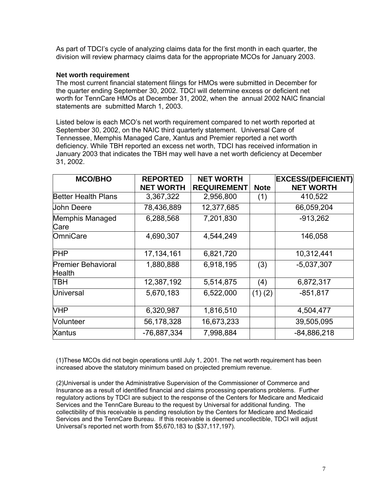As part of TDCI's cycle of analyzing claims data for the first month in each quarter, the division will review pharmacy claims data for the appropriate MCOs for January 2003.

#### **Net worth requirement**

The most current financial statement filings for HMOs were submitted in December for the quarter ending September 30, 2002. TDCI will determine excess or deficient net worth for TennCare HMOs at December 31, 2002, when the annual 2002 NAIC financial statements are submitted March 1, 2003.

Listed below is each MCO's net worth requirement compared to net worth reported at September 30, 2002, on the NAIC third quarterly statement. Universal Care of Tennessee, Memphis Managed Care, Xantus and Premier reported a net worth deficiency. While TBH reported an excess net worth, TDCI has received information in January 2003 that indicates the TBH may well have a net worth deficiency at December 31, 2002.

| <b>MCO/BHO</b>                             | <b>REPORTED</b>  | <b>NET WORTH</b>   |             | <b>EXCESS/(DEFICIENT)</b> |
|--------------------------------------------|------------------|--------------------|-------------|---------------------------|
|                                            | <b>NET WORTH</b> | <b>REQUIREMENT</b> | <b>Note</b> | <b>NET WORTH</b>          |
| <b>Better Health Plans</b>                 | 3,367,322        | 2,956,800          | (1)         | 410,522                   |
| Uohn Deere                                 | 78,436,889       | 12,377,685         |             | 66,059,204                |
| <b>Memphis Managed</b><br>Care             | 6,288,568        | 7,201,830          |             | $-913,262$                |
| OmniCare                                   | 4,690,307        | 4,544,249          |             | 146,058                   |
| <b>PHP</b>                                 | 17, 134, 161     | 6,821,720          |             | 10,312,441                |
| <b>Premier Behavioral</b><br><b>Health</b> | 1,880,888        | 6,918,195          | (3)         | $-5,037,307$              |
| ТВН                                        | 12,387,192       | 5,514,875          | (4)         | 6,872,317                 |
| <b>Universal</b>                           | 5,670,183        | 6,522,000          | $(1)$ $(2)$ | $-851, 817$               |
| VHP                                        | 6,320,987        | 1,816,510          |             | 4,504,477                 |
| <b>Nolunteer</b>                           | 56,178,328       | 16,673,233         |             | 39,505,095                |
| <b>Xantus</b>                              | -76,887,334      | 7,998,884          |             | $-84,886,218$             |

(1)These MCOs did not begin operations until July 1, 2001. The net worth requirement has been increased above the statutory minimum based on projected premium revenue.

(2)Universal is under the Administrative Supervision of the Commissioner of Commerce and Insurance as a result of identified financial and claims processing operations problems. Further regulatory actions by TDCI are subject to the response of the Centers for Medicare and Medicaid Services and the TennCare Bureau to the request by Universal for additional funding. The collectibility of this receivable is pending resolution by the Centers for Medicare and Medicaid Services and the TennCare Bureau. If this receivable is deemed uncollectible, TDCI will adjust Universal's reported net worth from \$5,670,183 to (\$37,117,197).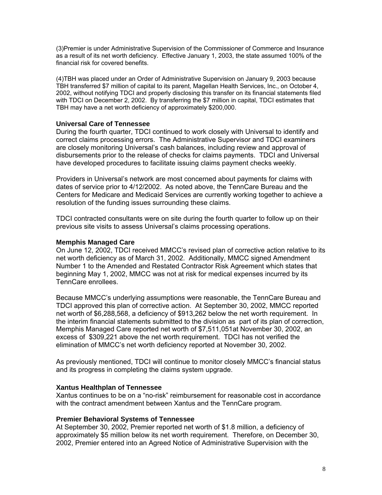(3)Premier is under Administrative Supervision of the Commissioner of Commerce and Insurance as a result of its net worth deficiency. Effective January 1, 2003, the state assumed 100% of the financial risk for covered benefits.

(4)TBH was placed under an Order of Administrative Supervision on January 9, 2003 because TBH transferred \$7 million of capital to its parent, Magellan Health Services, Inc., on October 4, 2002, without notifying TDCI and properly disclosing this transfer on its financial statements filed with TDCI on December 2, 2002. By transferring the \$7 million in capital, TDCI estimates that TBH may have a net worth deficiency of approximately \$200,000.

#### **Universal Care of Tennessee**

During the fourth quarter, TDCI continued to work closely with Universal to identify and correct claims processing errors. The Administrative Supervisor and TDCI examiners are closely monitoring Universal's cash balances, including review and approval of disbursements prior to the release of checks for claims payments. TDCI and Universal have developed procedures to facilitate issuing claims payment checks weekly.

Providers in Universal's network are most concerned about payments for claims with dates of service prior to 4/12/2002. As noted above, the TennCare Bureau and the Centers for Medicare and Medicaid Services are currently working together to achieve a resolution of the funding issues surrounding these claims.

TDCI contracted consultants were on site during the fourth quarter to follow up on their previous site visits to assess Universal's claims processing operations.

#### **Memphis Managed Care**

On June 12, 2002, TDCI received MMCC's revised plan of corrective action relative to its net worth deficiency as of March 31, 2002. Additionally, MMCC signed Amendment Number 1 to the Amended and Restated Contractor Risk Agreement which states that beginning May 1, 2002, MMCC was not at risk for medical expenses incurred by its TennCare enrollees.

Because MMCC's underlying assumptions were reasonable, the TennCare Bureau and TDCI approved this plan of corrective action. At September 30, 2002, MMCC reported net worth of \$6,288,568, a deficiency of \$913,262 below the net worth requirement. In the interim financial statements submitted to the division as part of its plan of correction, Memphis Managed Care reported net worth of \$7,511,051at November 30, 2002, an excess of \$309,221 above the net worth requirement. TDCI has not verified the elimination of MMCC's net worth deficiency reported at November 30, 2002.

As previously mentioned, TDCI will continue to monitor closely MMCC's financial status and its progress in completing the claims system upgrade.

#### **Xantus Healthplan of Tennessee**

Xantus continues to be on a "no-risk" reimbursement for reasonable cost in accordance with the contract amendment between Xantus and the TennCare program.

#### **Premier Behavioral Systems of Tennessee**

At September 30, 2002, Premier reported net worth of \$1.8 million, a deficiency of approximately \$5 million below its net worth requirement. Therefore, on December 30, 2002, Premier entered into an Agreed Notice of Administrative Supervision with the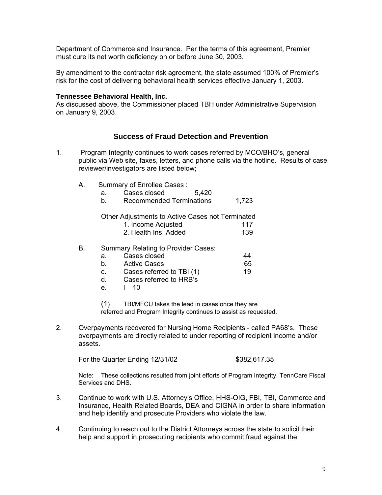Department of Commerce and Insurance. Per the terms of this agreement, Premier must cure its net worth deficiency on or before June 30, 2003.

By amendment to the contractor risk agreement, the state assumed 100% of Premier's risk for the cost of delivering behavioral health services effective January 1, 2003.

#### **Tennessee Behavioral Health, Inc.**

As discussed above, the Commissioner placed TBH under Administrative Supervision on January 9, 2003.

### **Success of Fraud Detection and Prevention**

- 1. Program Integrity continues to work cases referred by MCO/BHO's, general public via Web site, faxes, letters, and phone calls via the hotline. Results of case reviewer/investigators are listed below;
	- A. Summary of Enrollee Cases :
		- a. Cases closed 5,420

b. Recommended Terminations 1.723

#### Other Adjustments to Active Cases not Terminated

| 1. Income Adjusted   | 117 |
|----------------------|-----|
| 2. Health Ins. Added | 139 |

#### B. Summary Relating to Provider Cases:

|  | Cases closed |  |
|--|--------------|--|
|  | Active Cases |  |

- b. Active Cases<br>c. Cases referred to TBI (1) 19 c. Cases referred to TBI (1)
- d. Cases referred to HRB's
- e. l 10

(1) TBI/MFCU takes the lead in cases once they are referred and Program Integrity continues to assist as requested.

2. Overpayments recovered for Nursing Home Recipients - called PA68's. These overpayments are directly related to under reporting of recipient income and/or assets.

For the Quarter Ending 12/31/02 \$382,617.35

 Note: These collections resulted from joint efforts of Program Integrity, TennCare Fiscal Services and DHS.

- 3. Continue to work with U.S. Attorney's Office, HHS-OIG, FBI, TBI, Commerce and Insurance, Health Related Boards, DEA and CIGNA in order to share information and help identify and prosecute Providers who violate the law.
- 4. Continuing to reach out to the District Attorneys across the state to solicit their help and support in prosecuting recipients who commit fraud against the